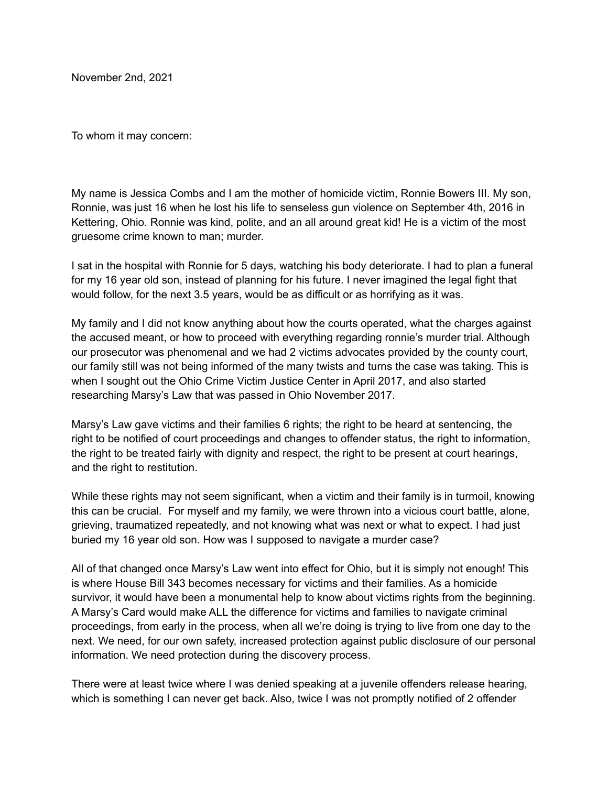November 2nd, 2021

To whom it may concern:

My name is Jessica Combs and I am the mother of homicide victim, Ronnie Bowers III. My son, Ronnie, was just 16 when he lost his life to senseless gun violence on September 4th, 2016 in Kettering, Ohio. Ronnie was kind, polite, and an all around great kid! He is a victim of the most gruesome crime known to man; murder.

I sat in the hospital with Ronnie for 5 days, watching his body deteriorate. I had to plan a funeral for my 16 year old son, instead of planning for his future. I never imagined the legal fight that would follow, for the next 3.5 years, would be as difficult or as horrifying as it was.

My family and I did not know anything about how the courts operated, what the charges against the accused meant, or how to proceed with everything regarding ronnie's murder trial. Although our prosecutor was phenomenal and we had 2 victims advocates provided by the county court, our family still was not being informed of the many twists and turns the case was taking. This is when I sought out the Ohio Crime Victim Justice Center in April 2017, and also started researching Marsy's Law that was passed in Ohio November 2017.

Marsy's Law gave victims and their families 6 rights; the right to be heard at sentencing, the right to be notified of court proceedings and changes to offender status, the right to information, the right to be treated fairly with dignity and respect, the right to be present at court hearings, and the right to restitution.

While these rights may not seem significant, when a victim and their family is in turmoil, knowing this can be crucial. For myself and my family, we were thrown into a vicious court battle, alone, grieving, traumatized repeatedly, and not knowing what was next or what to expect. I had just buried my 16 year old son. How was I supposed to navigate a murder case?

All of that changed once Marsy's Law went into effect for Ohio, but it is simply not enough! This is where House Bill 343 becomes necessary for victims and their families. As a homicide survivor, it would have been a monumental help to know about victims rights from the beginning. A Marsy's Card would make ALL the difference for victims and families to navigate criminal proceedings, from early in the process, when all we're doing is trying to live from one day to the next. We need, for our own safety, increased protection against public disclosure of our personal information. We need protection during the discovery process.

There were at least twice where I was denied speaking at a juvenile offenders release hearing, which is something I can never get back. Also, twice I was not promptly notified of 2 offender